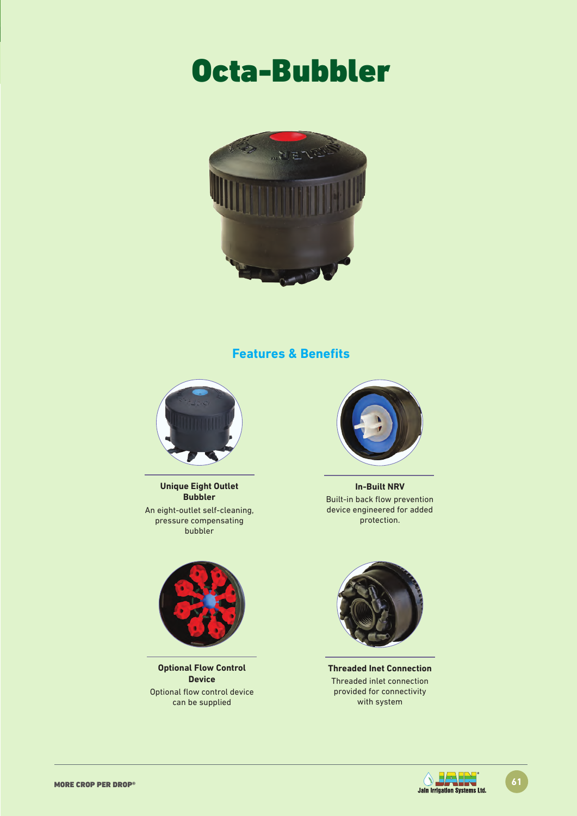# Octa-Bubbler



### **Features & Benefits**



**Unique Eight Outlet Bubbler** An eight-outlet self-cleaning, pressure compensating bubbler



**Optional Flow Control Device** Optional flow control device can be supplied



**In-Built NRV**  Built-in back flow prevention device engineered for added protection.



**Threaded Inet Connection** Threaded inlet connection provided for connectivity with system